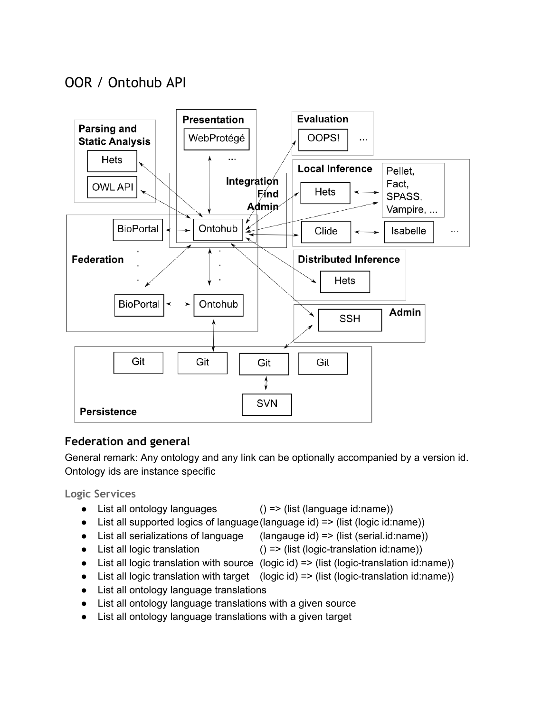# OOR / Ontohub API



# **Federation and general**

General remark: Any ontology and any link can be optionally accompanied by a version id. Ontology ids are instance specific

**Logic Services**

● List all ontology languages () => (list (language id:name))

- List all supported logics of language (language id) => (list (logic id:name))
- List all serializations of language (langauge id) => (list (serial.id:name))
- List all logic translation  $() \Rightarrow$  (list (logic-translation id:name))
	-
- List all logic translation with source  $(logic id)$  => (list (logic-translation id:name))
- List all logic translation with target  $(\text{logic id}) \Rightarrow (\text{list (logic-translation id:name)})$
- List all ontology language translations
- List all ontology language translations with a given source
- List all ontology language translations with a given target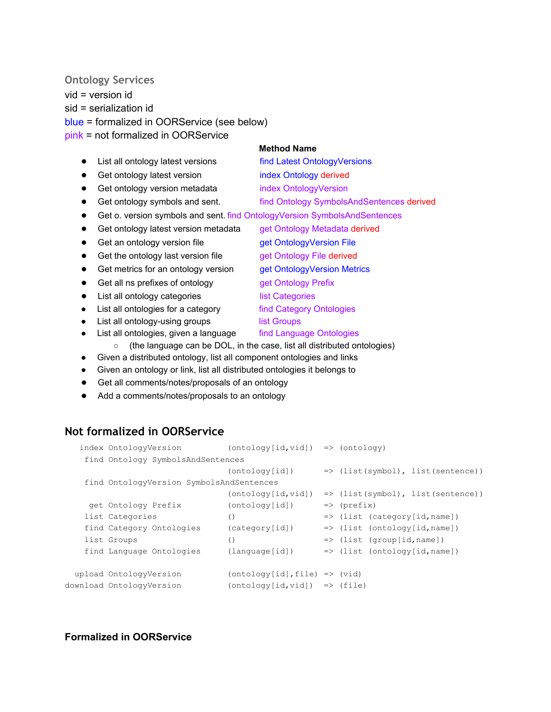#### **Ontology Services**

vid = version id sid = serialization id blue = formalized in OORService (see below) pink = not formalized in OORService

#### **Method Name**

- List all ontology latest versions find Latest OntologyVersions
- Get ontology latest version index Ontology derived
- Get ontology version metadata index OntologyVersion
- Get ontology symbols and sent. find Ontology SymbolsAndSentences derived
- Get o. version symbols and sent. find OntologyVersion SymbolsAndSentences
- Get ontology latest version metadata get Ontology Metadata derived
- Get an ontology version file **get OntologyVersion File**
- Get the ontology last version file get Ontology File derived
- Get metrics for an ontology version get OntologyVersion Metrics
- Get all ns prefixes of ontology get Ontology Prefix
- List all ontology categories list Categories
- List all ontologies for a category find Category Ontologies
- List all ontology-using groups list Groups
- List all ontologies, given a language find Language Ontologies
	- (the language can be DOL, in the case, list all distributed ontologies)
- Given a distributed ontology, list all component ontologies and links
- Given an ontology or link, list all distributed ontologies it belongs to
- Get all comments/notes/proposals of an ontology
- Add a comments/notes/proposals to an ontology

### **Not formalized in OORService**

| index OntologyVersion                    | $(ontology[id, vid])$ => $(ontology)$ |                                              |
|------------------------------------------|---------------------------------------|----------------------------------------------|
| find Ontology SymbolsAndSentences        |                                       |                                              |
|                                          | (ontology[id])                        | $\Rightarrow$ (list(symbol), list(sentence)) |
| find OntologyVersion SymbolsAndSentences |                                       |                                              |
|                                          | (ontology[id, vid])                   | $\Rightarrow$ (list(symbol), list(sentence)) |
| get Ontology Prefix                      | (ontology[id])                        | $\Rightarrow$ (prefix)                       |
| list Categories                          | ( )                                   | $\Rightarrow$ (list (category[id, name])     |
| find Category Ontologies                 | (categorical)                         | $\Rightarrow$ (list (ontology[id, name])     |
| list Groups                              | $\left( \right)$                      | $\Rightarrow$ (list (group[id, name])        |
| find Language Ontologies                 | (lanquage[id])                        | $\Rightarrow$ (list (ontology[id, name])     |
| upload OntologyVersion                   | $(ontology[id], file)$ => $(vid)$     |                                              |
| download OntologyVersion                 | $(ontology(id, vid])$ => $(file)$     |                                              |

#### **Formalized in OORService**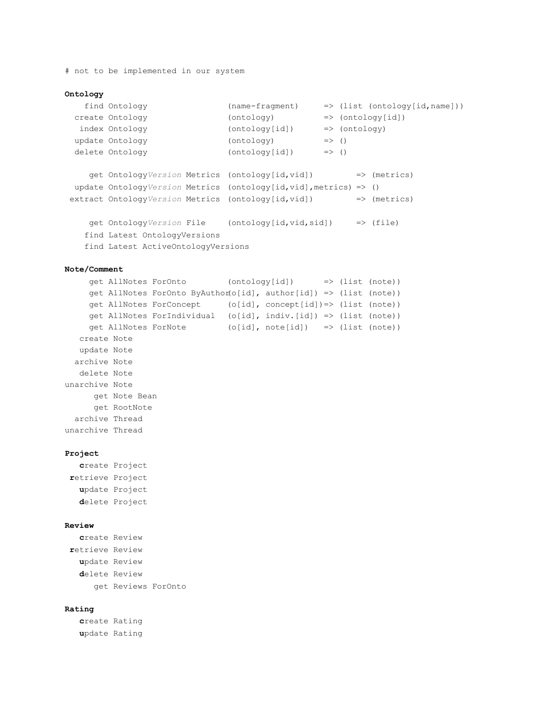# not to be implemented in our system

```
Ontology
  find Ontology (namefragment) => (list (ontology[id,name]))
 create Ontology (ontology) => (ontology[id])
  index Ontology (ontology[id]) => (ontology)update Ontology (ontology) \Rightarrow ()
 delete Ontology (ontology[id]) => ()
    get OntologyVersion Metrics (ontology[id,vid]) => (metrics)
 update OntologyVersion Metrics (ontology[id,vid],metrics) => ()
 extract OntologyVersion Metrics (ontology[id,vid]) => (metrics)
    get OntologyVersion File (ontology[id,vid,sid]) => (file)
   find Latest OntologyVersions
   find Latest ActiveOntologyVersions
Note/Comment
    get AllNotes ForOnto (ontology[id]) => (list (note))
    get AllNotes ForOnto ByAuthor(o[id], author[id]) => (list (note))
    get AllNotes ForConcept (o[id], concept[id])=> (list (note))
    get AllNotes ForIndividual (o[id], indiv.[id]) => (list (note))
    get AllNotes ForNote (o[id], note[id]) => (list (note))
  create Note
  update Note
 archive Note
  delete Note
unarchive Note
     get Note Bean
     get RootNote
 archive Thread
unarchive Thread
Project
  create Project
retrieve Project
  update Project
  delete Project
Review
  create Review
retrieve Review
  update Review
  delete Review
     get Reviews ForOnto
Rating
```
**c**reate Rating **u**pdate Rating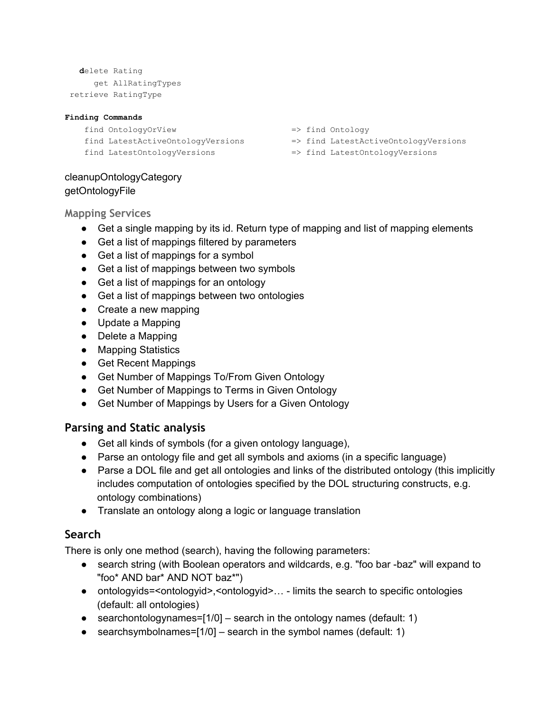```
delete Rating
   get AllRatingTypes
retrieve RatingType
```
#### **Finding Commands**

find OntologyOrView => find Ontology find LatestActiveOntologyVersions => find LatestActiveOntologyVersions find LatestOntologyVersions => find LatestOntologyVersions

- 
- 
- 

#### cleanupOntologyCategory getOntologyFile

**Mapping Services**

- Get a single mapping by its id. Return type of mapping and list of mapping elements
- Get a list of mappings filtered by parameters
- Get a list of mappings for a symbol
- Get a list of mappings between two symbols
- Get a list of mappings for an ontology
- Get a list of mappings between two ontologies
- Create a new mapping
- Update a Mapping
- Delete a Mapping
- Mapping Statistics
- Get Recent Mappings
- Get Number of Mappings To/From Given Ontology
- Get Number of Mappings to Terms in Given Ontology
- Get Number of Mappings by Users for a Given Ontology

### **Parsing and Static analysis**

- Get all kinds of symbols (for a given ontology language),
- Parse an ontology file and get all symbols and axioms (in a specific language)
- Parse a DOL file and get all ontologies and links of the distributed ontology (this implicitly includes computation of ontologies specified by the DOL structuring constructs, e.g. ontology combinations)
- Translate an ontology along a logic or language translation

### **Search**

There is only one method (search), having the following parameters:

- search string (with Boolean operators and wildcards, e.g. "foo bar -baz" will expand to "foo\* AND bar\* AND NOT baz\*")
- ontologyids=<ontologyid>,<ontologyid>... limits the search to specific ontologies (default: all ontologies)
- searchontologynames= $[1/0]$  search in the ontology names (default: 1)
- searchsymbolnames= $[1/0]$  search in the symbol names (default: 1)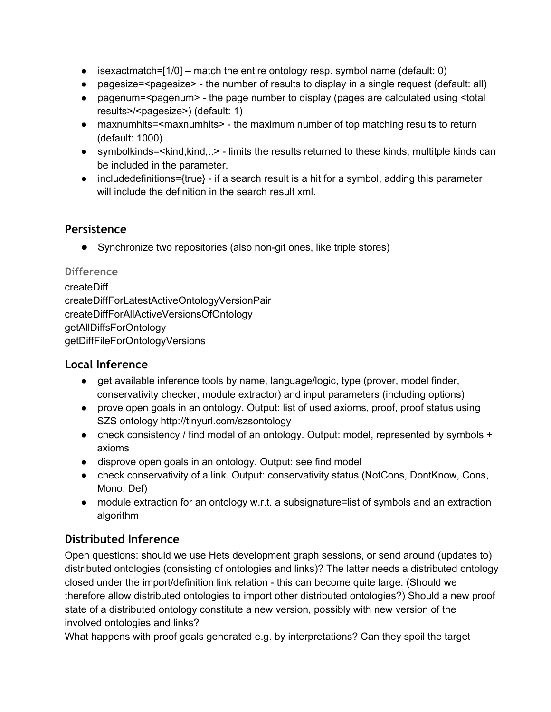- $\bullet$  isexactmatch=[1/0] match the entire ontology resp. symbol name (default: 0)
- pagesize=<pagesize> the number of results to display in a single request (default: all)
- pagenum=<pagenum> the page number to display (pages are calculated using <total results>/<pagesize>) (default: 1)
- maxnumhits=<maxnumhits> the maximum number of top matching results to return (default: 1000)
- symbolkinds=<kind,kind,..> limits the results returned to these kinds, multitple kinds can be included in the parameter.
- $\bullet$  includedefinitions={true}  $\cdot$  if a search result is a hit for a symbol, adding this parameter will include the definition in the search result xml.

# **Persistence**

**•** Synchronize two repositories (also non-git ones, like triple stores)

### **Difference**

createDiff createDiffForLatestActiveOntologyVersionPair createDiffForAllActiveVersionsOfOntology getAllDiffsForOntology getDiffFileForOntologyVersions

## **Local Inference**

- get available inference tools by name, language/logic, type (prover, model finder, conservativity checker, module extractor) and input parameters (including options)
- prove open goals in an ontology. Output: list of used axioms, proof, proof status using SZS ontology http://tinyurl.com/szsontology
- check consistency / find model of an ontology. Output: model, represented by symbols + axioms
- disprove open goals in an ontology. Output: see find model
- check conservativity of a link. Output: conservativity status (NotCons, DontKnow, Cons, Mono, Def)
- module extraction for an ontology w.r.t. a subsignature=list of symbols and an extraction algorithm

# **Distributed Inference**

Open questions: should we use Hets development graph sessions, or send around (updates to) distributed ontologies (consisting of ontologies and links)? The latter needs a distributed ontology closed under the import/definition link relation - this can become quite large. (Should we therefore allow distributed ontologies to import other distributed ontologies?) Should a new proof state of a distributed ontology constitute a new version, possibly with new version of the involved ontologies and links?

What happens with proof goals generated e.g. by interpretations? Can they spoil the target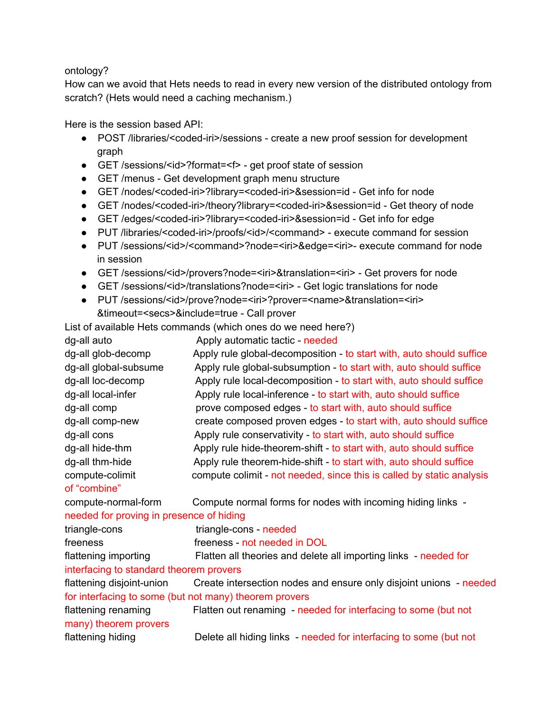#### ontology?

How can we avoid that Hets needs to read in every new version of the distributed ontology from scratch? (Hets would need a caching mechanism.)

Here is the session based API:

- POST /libraries/<coded-iri>/sessions create a new proof session for development graph
- GET /sessions/<id>?format=<f> get proof state of session
- GET/menus Get development graph menu structure
- GET /nodes/<coded-iri>?library=<coded-iri>&session=id Get info for node
- GET /nodes/<coded-iri>/theory?library=<coded-iri>&session=id Get theory of node
- GET /edges/<coded-iri>?library=<coded-iri>&session=id Get info for edge
- PUT /libraries/<coded-iri>/proofs/<id>/<command> execute command for session
- PUT /sessions/<id>/<command>?node=<iri>&edge=<iri>-execute command for node in session
- GET /sessions/<id>/provers?node=<iri>&translation=<iri> Get provers for node
- GET /sessions/<id>/translations?node=<iri> Get logic translations for node
- PUT /sessions/<id>/prove?node=<iri>?prover=<name>&translation=<iri> &timeout=<secs>&include=true Call prover

List of available Hets commands (which ones do we need here?)

| dg-all auto                              | Apply automatic tactic - needed                                       |
|------------------------------------------|-----------------------------------------------------------------------|
| dg-all glob-decomp                       | Apply rule global-decomposition - to start with, auto should suffice  |
| dg-all global-subsume                    | Apply rule global-subsumption - to start with, auto should suffice    |
| dg-all loc-decomp                        | Apply rule local-decomposition - to start with, auto should suffice   |
| dg-all local-infer                       | Apply rule local-inference - to start with, auto should suffice       |
| dg-all comp                              | prove composed edges - to start with, auto should suffice             |
| dg-all comp-new                          | create composed proven edges - to start with, auto should suffice     |
| dg-all cons                              | Apply rule conservativity - to start with, auto should suffice        |
| dg-all hide-thm                          | Apply rule hide-theorem-shift - to start with, auto should suffice    |
| dg-all thm-hide                          | Apply rule theorem-hide-shift - to start with, auto should suffice    |
| compute-colimit                          | compute colimit - not needed, since this is called by static analysis |
| of "combine"                             |                                                                       |
| compute-normal-form                      | Compute normal forms for nodes with incoming hiding links -           |
| needed for proving in presence of hiding |                                                                       |
| triangle-cons                            | triangle-cons - needed                                                |
| freeness                                 | freeness - not needed in DOL                                          |
| flattening importing                     | Flatten all theories and delete all importing links - needed for      |
| interfacing to standard theorem provers  |                                                                       |
| flattening disjoint-union                | Create intersection nodes and ensure only disjoint unions - needed    |
|                                          | for interfacing to some (but not many) theorem provers                |
| flattening renaming                      | Flatten out renaming - needed for interfacing to some (but not        |
| many) theorem provers                    |                                                                       |
| flattening hiding                        | Delete all hiding links - needed for interfacing to some (but not     |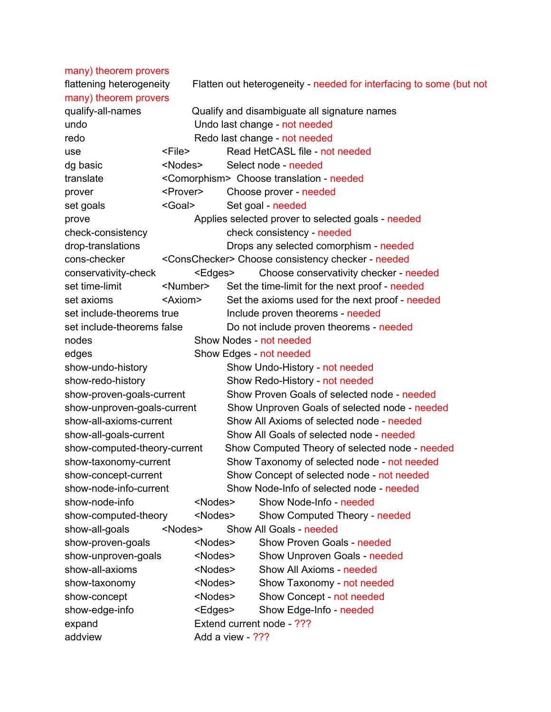many) theorem provers flattening heterogeneity Flatten out heterogeneity - needed for interfacing to some (but not many) theorem provers qualify-all-names Qualify and disambiguate all signature names undo Undo last change - not needed redo **Redo last change** - not needed use <File> Read HetCASL file not needed dg basic <Nodes> Select node needed translate <Comorphism> Choose translation needed prover <Prover> Choose prover needed set goals <Goal> Set goal - needed prove Applies selected prover to selected goals needed check-consistency check consistency - needed drop-translations **Drops any selected comorphism** - needed conschecker <ConsChecker> Choose consistency checker needed conservativitycheck <Edges> Choose conservativity checker needed set time-limit <Number> Set the time-limit for the next proof - needed set axioms  $\leq$ Axiom> Set the axioms used for the next proof - needed set include-theorems true Include proven theorems - needed set include-theorems false Do not include proven theorems - needed nodes **Show Nodes** - not needed edges Bhow Edges - not needed show-undo-history Show Undo-History - not needed show-redo-history Show Redo-History - not needed show-proven-goals-current Show Proven Goals of selected node - needed show-unproven-goals-current Show Unproven Goals of selected node - needed show-all-axioms-current Show All Axioms of selected node - needed show-all-goals-current Show All Goals of selected node - needed show-computed-theory-current Show Computed Theory of selected node - needed show-taxonomy-current Show Taxonomy of selected node - not needed show-concept-current Show Concept of selected node - not needed show-node-info-current Show Node-Info of selected node - needed show-node-info <Nodes> Show Node-Info - needed show-computed-theory <Nodes> Show Computed Theory - needed show-all-goals <Nodes> Show All Goals - needed show-proven-goals <Nodes> Show Proven Goals - needed show-unproven-goals <Nodes> Show Unproven Goals - needed show-all-axioms <Nodes> Show All Axioms - needed show-taxonomy <Nodes> Show Taxonomy - not needed show-concept <Nodes> Show Concept - not needed show-edge-info <Edges> Show Edge-Info - needed expand Extend current node - ??? addview **Add a view - ???**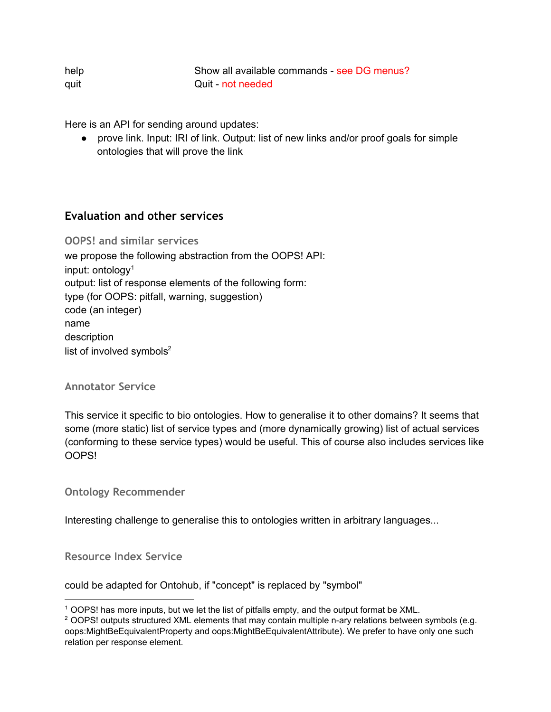| help | Show all available commands - see DG menus? |
|------|---------------------------------------------|
| quit | Quit - not needed                           |

Here is an API for sending around updates:

● prove link. Input: IRI of link. Output: list of new links and/or proof goals for simple ontologies that will prove the link

# **Evaluation and other services**

**OOPS! and similar services** we propose the following abstraction from the OOPS! API: input: ontology 1 output: list of response elements of the following form: type (for OOPS: pitfall, warning, suggestion) code (an integer) name description list of involved symbols $2$ 

**Annotator Service**

This service it specific to bio ontologies. How to generalise it to other domains? It seems that some (more static) list of service types and (more dynamically growing) list of actual services (conforming to these service types) would be useful. This of course also includes services like OOPS!

**Ontology Recommender**

Interesting challenge to generalise this to ontologies written in arbitrary languages...

**Resource Index Service**

could be adapted for Ontohub, if "concept" is replaced by "symbol"

<sup>1</sup> OOPS! has more inputs, but we let the list of pitfalls empty, and the output format be XML.

 $2$  OOPS! outputs structured XML elements that may contain multiple n-ary relations between symbols (e.g. oops:MightBeEquivalentProperty and oops:MightBeEquivalentAttribute). We prefer to have only one such relation per response element.